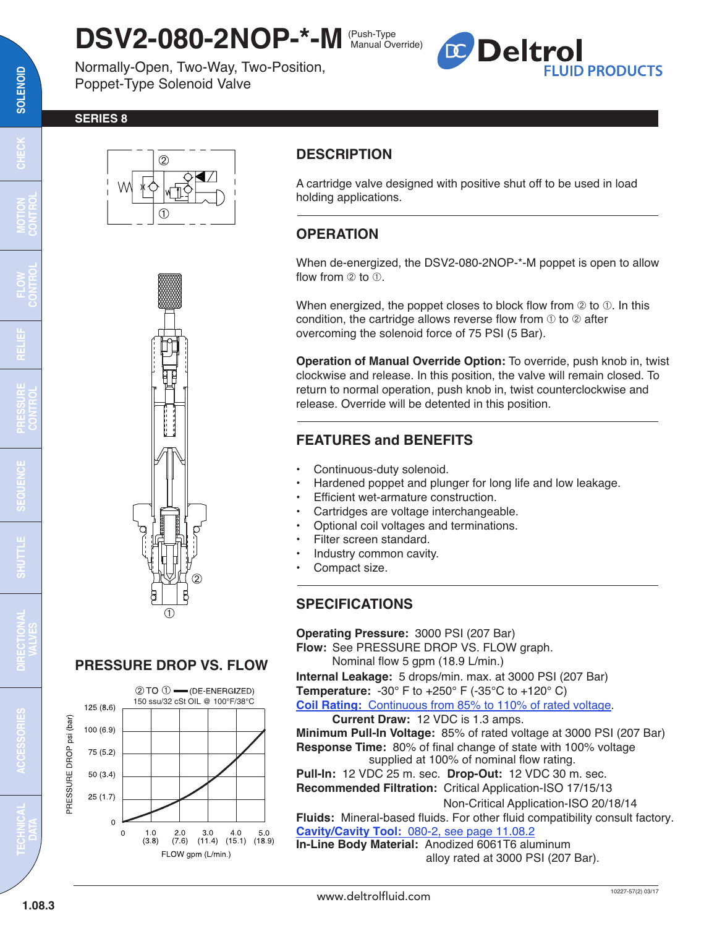## **DSV2-080-2NOP-\*-M** (Push-Type Manual Override)

Normally-Open, Two-Way, Two-Position, Poppet-Type Solenoid Valve



#### **SERIES 8**





# **PRESSURE DROP VS. FLOW**



## **DESCRIPTION**

A cartridge valve designed with positive shut off to be used in load holding applications.

## **OPERATION**

When de-energized, the DSV2-080-2NOP-\*-M poppet is open to allow flow from  $(2)$  to  $(1)$ .

When energized, the poppet closes to block flow from  $\oslash$  to  $\oslash$ . In this condition, the cartridge allows reverse flow from  $\odot$  to  $\oslash$  after overcoming the solenoid force of 75 PSI (5 Bar).

**Operation of Manual Override Option:** To override, push knob in, twist clockwise and release. In this position, the valve will remain closed. To return to normal operation, push knob in, twist counterclockwise and release. Override will be detented in this position.

## **FEATURES and BENEFITS**

- Continuous-duty solenoid.
- Hardened poppet and plunger for long life and low leakage.
- Efficient wet-armature construction.
- Cartridges are voltage interchangeable.
- Optional coil voltages and terminations.
- Filter screen standard.
- Industry common cavity.
- Compact size.

## **SPECIFICATIONS**

**Operating Pressure:** 3000 PSI (207 Bar)

**Flow:** See PRESSURE DROP VS. FLOW graph. Nominal flow 5 gpm (18.9 L/min.)

**Internal Leakage:** 5 drops/min. max. at 3000 PSI (207 Bar) **Temperature:** -30° F to +250° F (-35°C to +120° C)

**Coil Rating:** [Continuous from 85% to 110% of rated voltage.](http://www.deltrolfluid.com/sites/default/files/cartridge/Series-8%20Coils_Complete.pdf)

**Current Draw:** 12 VDC is 1.3 amps.

**Minimum Pull-In Voltage:** 85% of rated voltage at 3000 PSI (207 Bar) **Response Time:** 80% of final change of state with 100% voltage supplied at 100% of nominal flow rating.

**Pull-In:** 12 VDC 25 m. sec. **Drop-Out:** 12 VDC 30 m. sec. **Recommended Filtration:** Critical Application-ISO 17/15/13

Non-Critical Application-ISO 20/18/14

**Fluids:** Mineral-based fluids. For other fluid compatibility consult factory. **Cavity/Cavity Tool:** [080-2, see page 11.08.2](http://www.deltrolfluid.com/sites/default/files/cartridge/080-2_Cavity.pdf)  **In-Line Body Material:** Anodized 6061T6 aluminum

alloy rated at 3000 PSI (207 Bar).

 $\Xi$ 

**MOTION CONTROL**

**RELIEF**

**FLOW CONTROL**

**PRESSURE CONTROL**

**SEQUENCE**

**CEQU** 

**SHUTTLE DIRECTIONAL**

**VALVES**

**TECHNICAL DATA**